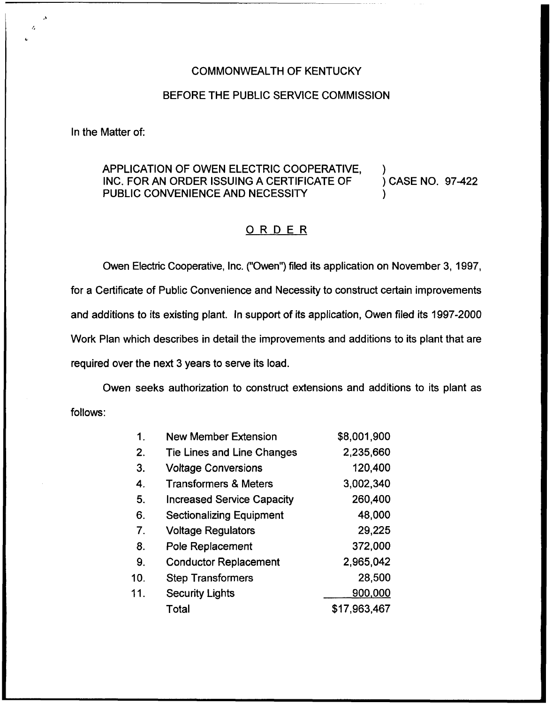#### COMMONWEALTH OF KENTUCKY

# BEFORE THE PUBLIC SERVICE COMMISSION

In the Matter of:

# APPLICATION OF OWEN ELECTRIC COOPERATIVE, )<br>INC. FOR AN ORDER ISSUING A CERTIFICATE OF ) CASE NO. 97-422 INC. FOR AN ORDER ISSUING A CERTIFICATE OF PUBLIC CONVENIENCE AND NECESSITY

# ORDER

Owen Electric Cooperative, Inc. ("Owen") filed its application on November 3, 1997, for a Certificate of Public Convenience and Necessity to construct certain improvements and additions to its existing plant. In support of its application, Owen filed its 1997-2000 Work Plan which describes in detail the improvements and additions to its plant that are required over the next 3 years to serve its load.

Owen seeks authorization to construct extensions and additions to its plant as follows:

| 1.  | <b>New Member Extension</b>       | \$8,001,900  |
|-----|-----------------------------------|--------------|
| 2.  | Tie Lines and Line Changes        | 2,235,660    |
| 3.  | <b>Voltage Conversions</b>        | 120,400      |
| 4.  | <b>Transformers &amp; Meters</b>  | 3,002,340    |
| 5.  | <b>Increased Service Capacity</b> | 260,400      |
| 6.  | <b>Sectionalizing Equipment</b>   | 48,000       |
| 7.  | <b>Voltage Regulators</b>         | 29,225       |
| 8.  | Pole Replacement                  | 372,000      |
| 9.  | <b>Conductor Replacement</b>      | 2,965,042    |
| 10. | <b>Step Transformers</b>          | 28,500       |
| 11. | <b>Security Lights</b>            | 900,000      |
|     | Total                             | \$17,963,467 |